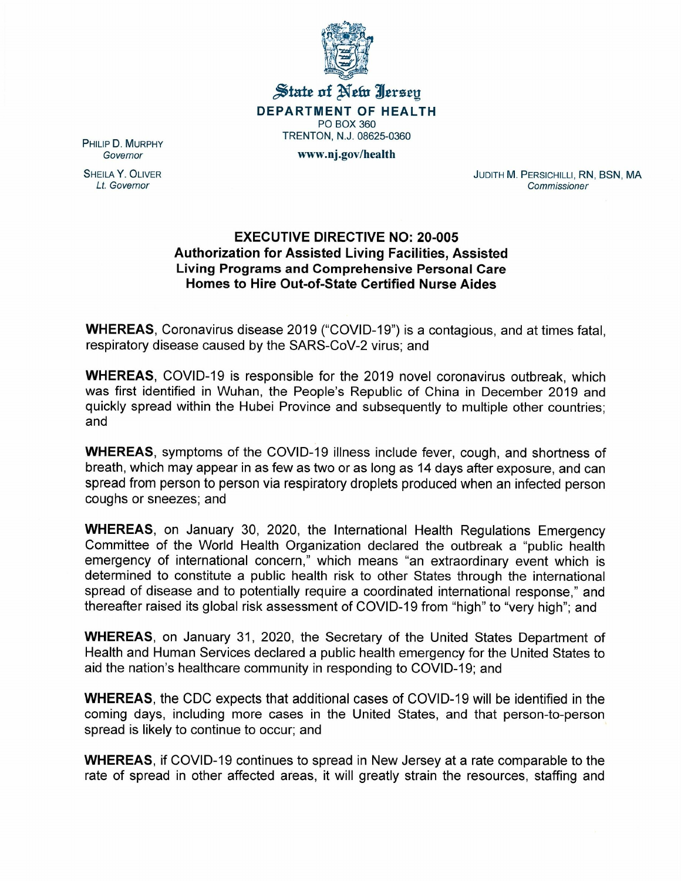

 $\frac{1}{20}$  state of Net Ierseu **DEPARTMENT OF HEALTH** PO BOX 360 TRENTON, N.J. 08625-0360 www.oj.gov/health

PHILIP D. MURPHY *Governor*

SHEILA Y. OLIVER *Lt. Governor*

JUDITH M. PERSICHILLI, RN, BSN, MA *Commissioner*

## **EXECUTIVE DIRECTIVE NO: 20-005 Authorization for Assisted Living Facilities, Assisted Living Programs and Comprehensive Personal Care Homes to Hire Out-of-State Certified Nurse Aides**

**WHEREAS,** Coronavirus disease 2019 ("COVID-19") is a contagious, and at times fatal, respiratory disease caused by the SARS-CoV-2 virus; and

**WHEREAS,** COVID-19 is responsible for the 2019 novel coronavirus outbreak, which was first identified in Wuhan, the People's Republic of China in December 2019 and quickly spread within the Hubei Province and subsequently to multiple other countries; and

**WHEREAS,** symptoms of the COVID-19 illness include fever, cough, and shortness of breath, which may appear in as few as two or as long as 14 days after exposure, and can spread from person to person via respiratory droplets produced when an infected person coughs or sneezes; and

**WHEREAS,** on January 30, 2020, the International Health Regulations Emergency Committee of the World Health Organization declared the outbreak a "public health emergency of international concern," which means "an extraordinary event which is determined to constitute a public health risk to other States through the international spread of disease and to potentially require a coordinated international response," and thereafter raised its global risk assessment of COVID-19 from "high" to "very high"; and

**WHEREAS,** on January 31, 2020, the Secretary of the United States Department of Health and Human Services declared a public health emergency for the United States to aid the nation's healthcare community in responding to COVID-19; and

**WHEREAS**, the CDC expects that additional cases of COVID-19 will be identified in the coming days, including more cases in the United States, and that person-to-person spread is likely to continue to occur; and

**WHEREAS,** if COVID-19 continues to spread in New Jersey at a rate comparable to the rate of spread in other affected areas, it will greatly strain the resources, staffing and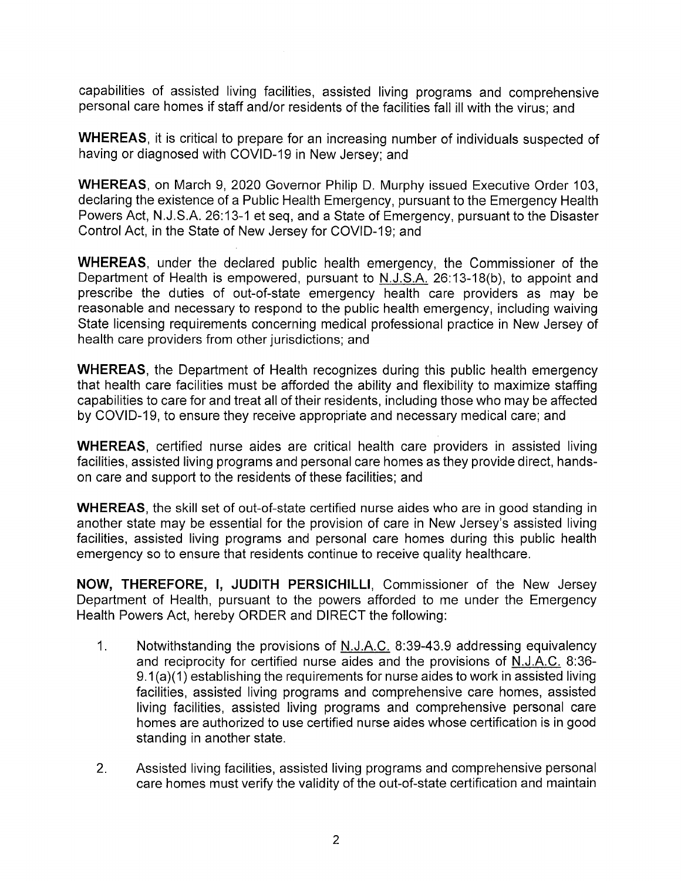capabilities of assisted living facilities, assisted living programs and comprehensive personal care homes if staff and/or residents of the facilities fall ill with the virus; and

**WHEREAS,** it is critical to prepare for an increasing number of individuals suspected of having or diagnosed with COVID-19 in New Jersey; and

**WHEREAS,** on March 9, 2020 Governor Philip D. Murphy issued Executive Order 103, declaring the existence of a Public Health Emergency, pursuant to the Emergency Health Powers Act, N.J.S.A. 26:13-1 et seq, and a State of Emergency, pursuant to the Disaster Control Act, in the State of New Jersey for COVID-19; and

**WHEREAS,** under the declared public health emergency, the Commissioner of the Department of Health is empowered, pursuant to N.J.S.A. 26:13-18(b), to appoint and prescribe the duties of out-of-state emergency health care providers as may be reasonable and necessary to respond to the public health emergency, including waiving State licensing requirements concerning medical professional practice in New Jersey of health care providers from other jurisdictions; and

**WHEREAS,** the Department of Health recognizes during this public health emergency that health care facilities must be afforded the ability and flexibility to maximize staffing capabilities to care for and treat all of their residents, including those who may be affected by COVID-19, to ensure they receive appropriate and necessary medical care; and

**WHEREAS,** certified nurse aides are critical health care providers in assisted living facilities, assisted living programs and personal care homes as they provide direct, handson care and support to the residents of these facilities; and

**WHEREAS,** the skill set of out-of-state certified nurse aides who are in good standing in another state may be essential for the provision of care in New Jersey's assisted living facilities, assisted living programs and personal care homes during this public health emergency so to ensure that residents continue to receive quality healthcare.

**NOW, THEREFORE, I, JUDITH PERSICHILLI,** Commissioner of the New Jersey Department of Health, pursuant to the powers afforded to me under the Emergency Health Powers Act, hereby ORDER and DIRECT the following:

- 1. Notwithstanding the provisions of N.J.A.C. 8:39-43.9 addressing equivalency and reciprocity for certified nurse aides and the provisions of N.J.A.C. 8:36- 9.1 (a)(1) establishing the requirements for nurse aides to work in assisted living facilities, assisted living programs and comprehensive care homes, assisted living facilities, assisted living programs and comprehensive personal care homes are authorized to use certified nurse aides whose certification is in good standing in another state.
- 2. Assisted living facilities, assisted living programs and comprehensive personal care homes must verify the validity of the out-of-state certification and maintain